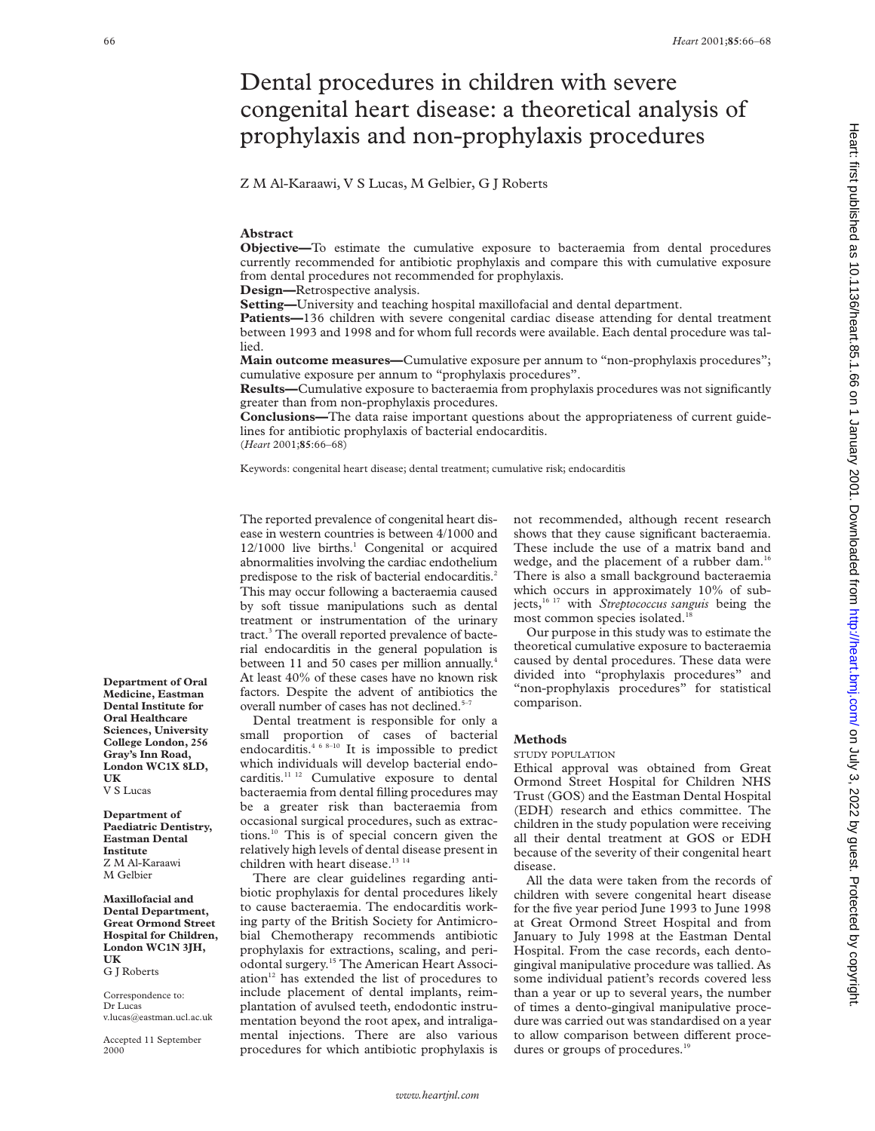# Dental procedures in children with severe congenital heart disease: a theoretical analysis of prophylaxis and non-prophylaxis procedures

Z M Al-Karaawi, V S Lucas, M Gelbier, G J Roberts

# **Abstract**

**Objective—**To estimate the cumulative exposure to bacteraemia from dental procedures currently recommended for antibiotic prophylaxis and compare this with cumulative exposure from dental procedures not recommended for prophylaxis.

**Design—**Retrospective analysis.

**Setting—**University and teaching hospital maxillofacial and dental department.

**Patients—136** children with severe congenital cardiac disease attending for dental treatment between 1993 and 1998 and for whom full records were available. Each dental procedure was tallied.

**Main outcome measures—**Cumulative exposure per annum to "non-prophylaxis procedures"; cumulative exposure per annum to "prophylaxis procedures".

**Results—**Cumulative exposure to bacteraemia from prophylaxis procedures was not significantly greater than from non-prophylaxis procedures.

**Conclusions—**The data raise important questions about the appropriateness of current guidelines for antibiotic prophylaxis of bacterial endocarditis. (*Heart* 2001;**85**:66–68)

Keywords: congenital heart disease; dental treatment; cumulative risk; endocarditis

The reported prevalence of congenital heart disease in western countries is between 4/1000 and  $12/1000$  live births.<sup>1</sup> Congenital or acquired abnormalities involving the cardiac endothelium predispose to the risk of bacterial endocarditis.<sup>2</sup> This may occur following a bacteraemia caused by soft tissue manipulations such as dental treatment or instrumentation of the urinary tract.<sup>3</sup> The overall reported prevalence of bacterial endocarditis in the general population is between 11 and 50 cases per million annually.<sup>4</sup> At least 40% of these cases have no known risk factors. Despite the advent of antibiotics the overall number of cases has not declined.<sup>5-7</sup>

Dental treatment is responsible for only a small proportion of cases of bacterial endocarditis.<sup>4 6 8-10</sup> It is impossible to predict which individuals will develop bacterial endocarditis.<sup>11 12</sup> Cumulative exposure to dental bacteraemia from dental filling procedures may be a greater risk than bacteraemia from occasional surgical procedures, such as extractions.10 This is of special concern given the relatively high levels of dental disease present in children with heart disease.<sup>13 14</sup>

There are clear guidelines regarding antibiotic prophylaxis for dental procedures likely to cause bacteraemia. The endocarditis working party of the British Society for Antimicrobial Chemotherapy recommends antibiotic prophylaxis for extractions, scaling, and periodontal surgery.15 The American Heart Association<sup>12</sup> has extended the list of procedures to include placement of dental implants, reimplantation of avulsed teeth, endodontic instrumentation beyond the root apex, and intraligamental injections. There are also various procedures for which antibiotic prophylaxis is

not recommended, although recent research shows that they cause significant bacteraemia. These include the use of a matrix band and wedge, and the placement of a rubber dam.<sup>16</sup> There is also a small background bacteraemia which occurs in approximately 10% of subjects,16 17 with *Streptococcus sanguis* being the most common species isolated.<sup>1</sup>

Our purpose in this study was to estimate the theoretical cumulative exposure to bacteraemia caused by dental procedures. These data were divided into "prophylaxis procedures" and "non-prophylaxis procedures" for statistical comparison.

# **Methods**

### STUDY POPULATION

Ethical approval was obtained from Great Ormond Street Hospital for Children NHS Trust (GOS) and the Eastman Dental Hospital (EDH) research and ethics committee. The children in the study population were receiving all their dental treatment at GOS or EDH because of the severity of their congenital heart disease.

All the data were taken from the records of children with severe congenital heart disease for the five year period June 1993 to June 1998 at Great Ormond Street Hospital and from January to July 1998 at the Eastman Dental Hospital. From the case records, each dentogingival manipulative procedure was tallied. As some individual patient's records covered less than a year or up to several years, the number of times a dento-gingival manipulative procedure was carried out was standardised on a year to allow comparison between different procedures or groups of procedures.<sup>19</sup>

**Department of Oral Medicine, Eastman Dental Institute for Oral Healthcare Sciences, University College London, 256 Gray's Inn Road, London WC1X 8LD, UK**

V S Lucas

**Department of Paediatric Dentistry, Eastman Dental Institute** Z M Al-Karaawi M Gelbier

**Maxillofacial and Dental Department, Great Ormond Street Hospital for Children, London WC1N 3JH, UK**

G J Roberts

Correspondence to: Dr Lucas v.lucas@eastman.ucl.ac.uk

Accepted 11 September 2000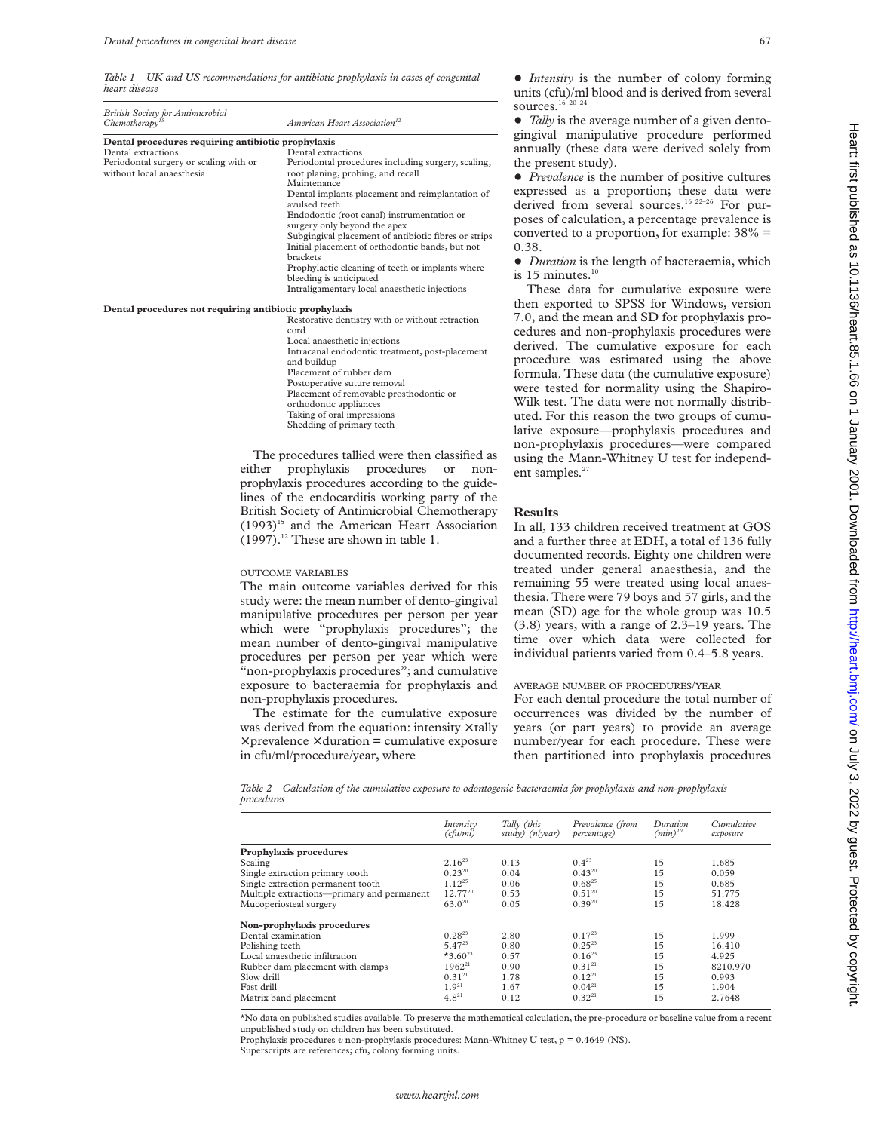*Table 1 UK and US recommendations for antibiotic prophylaxis in cases of congenital heart disease*

| <b>British Society for Antimicrobial</b><br>Chemotherapy <sup>15</sup> | American Heart Association <sup>12</sup>                                                               |  |  |  |
|------------------------------------------------------------------------|--------------------------------------------------------------------------------------------------------|--|--|--|
| Dental procedures requiring antibiotic prophylaxis                     |                                                                                                        |  |  |  |
| Dental extractions                                                     | Dental extractions                                                                                     |  |  |  |
| Periodontal surgery or scaling with or<br>without local anaesthesia    | Periodontal procedures including surgery, scaling,<br>root planing, probing, and recall<br>Maintenance |  |  |  |
|                                                                        | Dental implants placement and reimplantation of<br>avulsed teeth                                       |  |  |  |
|                                                                        | Endodontic (root canal) instrumentation or<br>surgery only beyond the apex                             |  |  |  |
|                                                                        | Subgingival placement of antibiotic fibres or strips                                                   |  |  |  |
|                                                                        | Initial placement of orthodontic bands, but not<br>brackets                                            |  |  |  |
|                                                                        | Prophylactic cleaning of teeth or implants where<br>bleeding is anticipated                            |  |  |  |
|                                                                        | Intraligamentary local anaesthetic injections                                                          |  |  |  |
| Dental procedures not requiring antibiotic prophylaxis                 |                                                                                                        |  |  |  |
|                                                                        | Restorative dentistry with or without retraction<br>cord                                               |  |  |  |
|                                                                        | Local anaesthetic injections                                                                           |  |  |  |
|                                                                        | Intracanal endodontic treatment, post-placement                                                        |  |  |  |
|                                                                        | and buildup                                                                                            |  |  |  |
|                                                                        | Placement of rubber dam                                                                                |  |  |  |
|                                                                        | Postoperative suture removal                                                                           |  |  |  |
|                                                                        | Placement of removable prosthodontic or                                                                |  |  |  |
|                                                                        | orthodontic appliances                                                                                 |  |  |  |
|                                                                        | Taking of oral impressions                                                                             |  |  |  |

The procedures tallied were then classified as either prophylaxis procedures or nonprophylaxis procedures according to the guidelines of the endocarditis working party of the British Society of Antimicrobial Chemotherapy  $(1993)^{15}$  and the American Heart Association  $(1997).$ <sup>12</sup> These are shown in table 1.

Shedding of primary teeth

#### OUTCOME VARIABLES

The main outcome variables derived for this study were: the mean number of dento-gingival manipulative procedures per person per year which were "prophylaxis procedures"; the mean number of dento-gingival manipulative procedures per person per year which were "non-prophylaxis procedures"; and cumulative exposure to bacteraemia for prophylaxis and non-prophylaxis procedures.

The estimate for the cumulative exposure was derived from the equation: intensity  $\times$  tally  $\times$  prevalence  $\times$  duration = cumulative exposure in cfu/ml/procedure/year, where

 $\bullet$  *Intensity* is the number of colony forming units (cfu)/ml blood and is derived from several ources. $^{\rm 16}$   $^{\rm 20-24}$ 

Tally is the average number of a given dentoingival manipulative procedure performed annually (these data were derived solely from he present study).

Prevalence is the number of positive cultures expressed as a proportion; these data were erived from several sources.<sup>16 22–26</sup> For puroses of calculation, a percentage prevalence is onverted to a proportion, for example:  $38\%$  = 0.38.

*Duration* is the length of bacteraemia, which  $15$  minutes.<sup>10</sup>

These data for cumulative exposure were hen exported to SPSS for Windows, version 7.0, and the mean and SD for prophylaxis procedures and non-prophylaxis procedures were erived. The cumulative exposure for each procedure was estimated using the above formula. These data (the cumulative exposure) were tested for normality using the Shapiro-Wilk test. The data were not normally distributed. For this reason the two groups of cumulative exposure—prophylaxis procedures and non-prophylaxis procedures—were compared using the Mann-Whitney U test for independent samples.<sup>27</sup>

#### **Results**

In all, 133 children received treatment at GOS and a further three at EDH, a total of 136 fully documented records. Eighty one children were treated under general anaesthesia, and the remaining 55 were treated using local anaesthesia. There were 79 boys and 57 girls, and the mean (SD) age for the whole group was 10.5 (3.8) years, with a range of 2.3–19 years. The time over which data were collected for individual patients varied from 0.4–5.8 years.

# AVERAGE NUMBER OF PROCEDURES/YEAR

For each dental procedure the total number of occurrences was divided by the number of years (or part years) to provide an average number/year for each procedure. These were then partitioned into prophylaxis procedures

*Table 2 Calculation of the cumulative exposure to odontogenic bacteraemia for prophylaxis and non-prophylaxis procedures*

|                                            | Intensity<br>(ctu/ml) | Tally (this<br>study) $(n/\nu ear)$ | Prevalence (from<br>percentage) | Duration<br>$(min)^{10}$ | Cumulative<br>exposure |
|--------------------------------------------|-----------------------|-------------------------------------|---------------------------------|--------------------------|------------------------|
| Prophylaxis procedures                     |                       |                                     |                                 |                          |                        |
| Scaling                                    | $2.16^{23}$           | 0.13                                | $0.4^{23}$                      | 15                       | 1.685                  |
| Single extraction primary tooth            | $0.23^{20}$           | 0.04                                | $0.43^{20}$                     | 15                       | 0.059                  |
| Single extraction permanent tooth          | $1.12^{25}$           | 0.06                                | $0.68^{25}$                     | 15                       | 0.685                  |
| Multiple extractions-primary and permanent | $12.77^{20}$          | 0.53                                | $0.51^{20}$                     | 15                       | 51.775                 |
| Mucoperiosteal surgery                     | $63.0^{20}$           | 0.05                                | $0.39^{20}$                     | 15                       | 18.428                 |
| Non-prophylaxis procedures                 |                       |                                     |                                 |                          |                        |
| Dental examination                         | $0.28^{23}$           | 2.80                                | $0.17^{23}$                     | 15                       | 1.999                  |
| Polishing teeth                            | $5.47^{23}$           | 0.80                                | $0.25^{23}$                     | 15                       | 16.410                 |
| Local anaesthetic infiltration             | $*3.60^{23}$          | 0.57                                | $0.16^{23}$                     | 15                       | 4.925                  |
| Rubber dam placement with clamps           | $1962^{21}$           | 0.90                                | $0.31^{21}$                     | 15                       | 8210.970               |
| Slow drill                                 | $0.31^{21}$           | 1.78                                | $0.12^{21}$                     | 15                       | 0.993                  |
| Fast drill                                 | $1.9^{21}$            | 1.67                                | $0.04^{21}$                     | 15                       | 1.904                  |
| Matrix band placement                      | $4.8^{21}$            | 0.12                                | $0.32^{21}$                     | 15                       | 2.7648                 |

\*No data on published studies available. To preserve the mathematical calculation, the pre-procedure or baseline value from a recent unpublished study on children has been substituted.

Prophylaxis procedures *v* non-prophylaxis procedures: Mann-Whitney U test, p = 0.4649 (NS).

Superscripts are references; cfu, colony forming units.